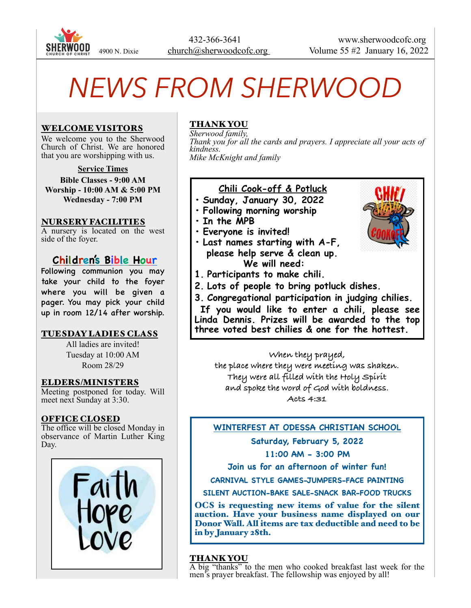

# *NEWS FROM SHERWOOD*

#### WELCOME VISITORS

We welcome you to the Sherwood Church of Christ. We are honored that you are worshipping with us.

**Service Times**

**Bible Classes - 9:00 AM Worship - 10:00 AM & 5:00 PM Wednesday - 7:00 PM**

#### NURSERY FACILITIES

A nursery is located on the west side of the foyer.

## **Children's Bible Hour**

Following communion you may take your child to the foyer where you will be given a pager. You may pick your child up in room 12/14 after worship.

#### TUESDAY LADIES CLASS

All ladies are invited! Tuesday at 10:00 AM Room 28/29

#### ELDERS/MINISTERS

Meeting postponed for today. Will meet next Sunday at 3:30.

#### OFFICE CLOSED

The office will be closed Monday in observance of Martin Luther King Day.



## THANK YOU

*Sherwood family, Thank you for all the cards and prayers. I appreciate all your acts of kindness. Mike McKnight and family*

### **Chili Cook-off & Potluck**

- **• Sunday, January 30, 2022**
- **• Following morning worship**
- **• In the MPB**
- **• Everyone is invited!**
- **• Last names starting with A-F, please help serve & clean up. We will need:**
- **1. Participants to make chili.**
- **2. Lots of people to bring potluck dishes.**
- **3. Congregational participation in judging chilies.**

 **If you would like to enter a chili, please see Linda Dennis. Prizes will be awarded to the top three voted best chilies & one for the hottest.**

**When they prayed, the place where they were meeting was shaken. They were all filled with the Holy Spirit and spoke the word of God with boldness. Acts 4:31**

#### **WINTERFEST AT ODESSA CHRISTIAN SCHOOL**

**Saturday, February 5, 2022** 

**11:00 AM - 3:00 PM** 

**Join us for an afternoon of winter fun!** 

**CARNIVAL STYLE GAMES-JUMPERS-FACE PAINTING** 

**SILENT AUCTION-BAKE SALE-SNACK BAR-FOOD TRUCKS** 

OCS is requesting new items of value for the silent auction. Have your business name displayed on our Donor Wall. All items are tax deductible and need to be in by January 28th.

#### THANK YOU

A big "thanks" to the men who cooked breakfast last week for the men's prayer breakfast. The fellowship was enjoyed by all!